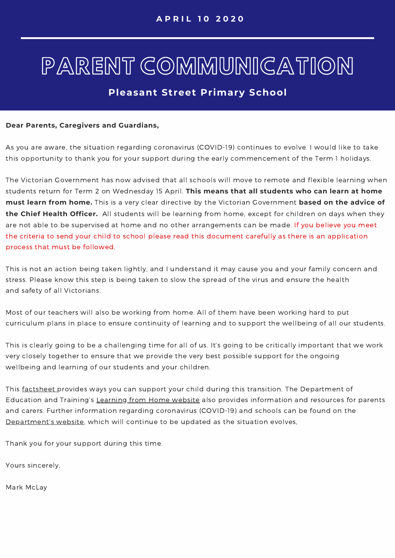# **Pleasant Street Primary School**

#### **Dear Parents, Caregivers and Guardians,**

As you are aware, the situation regarding coronavirus (COVID-19) continues to evolve. I would like to take this opportunity to thank you for your support during the early commencement of the Term 1 holidays.

The Victorian Government has now advised that all schools will move to remote and flexible learning when students return for Term 2 on Wednesday 15 April. **This means that all students who can learn at home must learn from home.** This is a very clear directive by the Victorian Government **based on the advice of the Chief Health Officer.** All students will be learning from home, except for children on days when they are not able to be supervised at home and no other arrangements can be made. If you believe you meet the criteria to send your child to school please read this document carefully as there is an application process that must be followed.

This is not an action being taken lightly, and I understand it may cause you and your family concern and stress. Please know this step is being taken to slow the spread of the virus and ensure the health and safety of all Victorians.

Most of our teachers will also be working from home. All of them have been working hard to put curriculum plans in place to ensure continuity of learning and to support the wellbeing of all our students.

This is clearly going to be a challenging time for all of us. It's going to be critically important that we work very closely together to ensure that we provide the very best possible support for the ongoing wellbeing and learning of our students and your children.

This [factsheet](https://www.education.vic.gov.au/parents/learning/Pages/home-learning.aspx) provides ways you can support your child during this transition. The Department of Education and Training's [Learning](https://www.education.vic.gov.au/parents/learning/Pages/home-learning.aspx) from Home website also provides information and resources for parents and carers. Further information regarding coronavirus (COVID-19) and schools can be found on the [Department's](https://www.education.vic.gov.au/about/department/Pages/coronavirus.aspx) website, which will continue to be updated as the situation evolves,

Thank you for your support during this time.

Yours sincerely,

Mark McLay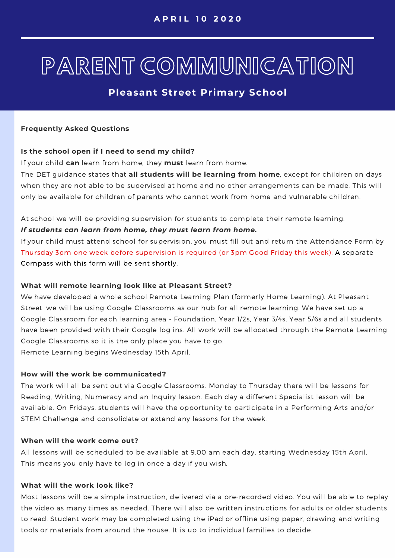# **Pleasant Street Primary School**

#### **Frequently Asked Questions**

## **Is the school open if I need to send my child?**

If your child **can** learn from home, they **must** learn from home.

The DET guidance states that **all students will be learning from home**, except for children on days when they are not able to be supervised at home and no other arrangements can be made. This will only be available for children of parents who cannot work from home and vulnerable children.

At school we will be providing supervision for students to complete their remote learning.

## *If students can learn from home, they must learn from home.*

If your child must attend school for supervision, you must fill out and return the Attendance Form by Thursday 3pm one week before supervision is required (or 3pm Good Friday this week). A separate Compass with this form will be sent shortly.

## **What will remote learning look like at Pleasant Street?**

We have developed a whole school Remote Learning Plan (formerly Home Learning). At Pleasant Street, we will be using Google Classrooms as our hub for all remote learning. We have set up a Google Classroom for each learning area - Foundation, Year 1/2s, Year 3/4s, Year 5/6s and all students have been provided with their Google log ins. All work will be allocated through the Remote Learning Google Classrooms so it is the only place you have to go. Remote Learning begins Wednesday 15th April.

## **How will the work be communicated?**

The work will all be sent out via Google Classrooms. Monday to Thursday there will be lessons for Reading, Writing, Numeracy and an Inquiry lesson. Each day a different Specialist lesson will be available. On Fridays, students will have the opportunity to participate in a Performing Arts and/or STEM Challenge and consolidate or extend any lessons for the week.

#### **When will the work come out?**

All lessons will be scheduled to be available at 9.00 am each day, starting Wednesday 15th April. This means you only have to log in once a day if you wish.

## **What will the work look like?**

Most lessons will be a simple instruction, delivered via a pre-recorded video. You will be able to replay the video as many times as needed. There will also be written instructions for adults or older students to read. Student work may be completed using the iPad or offline using paper, drawing and writing tools or materials from around the house. It is up to individual families to decide.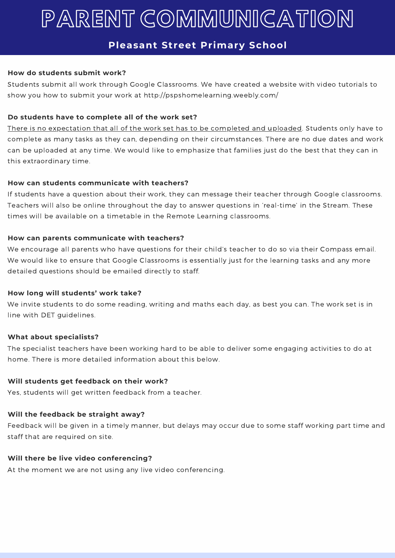# **Pleasant Street Primary School**

## **How do students submit work?**

Students submit all work through Google Classrooms. We have created a website with video tutorials to show you how to submit your work at http://pspshomelearning.weebly.com/

# **Do students have to complete all of the work set?**

There is no expectation that all of the work set has to be completed and uploaded. Students only have to complete as many tasks as they can, depending on their circumstances. There are no due dates and work can be uploaded at any time. We would like to emphasize that families just do the best that they can in this extraordinary time.

## **How can students communicate with teachers?**

If students have a question about their work, they can message their teacher through Google classrooms. Teachers will also be online throughout the day to answer questions in 'real-time' in the Stream. These times will be available on a timetable in the Remote Learning classrooms.

## **How can parents communicate with teachers?**

We encourage all parents who have questions for their child's teacher to do so via their Compass email. We would like to ensure that Google Classrooms is essentially just for the learning tasks and any more detailed questions should be emailed directly to staff.

## **How long will students' work take?**

We invite students to do some reading, writing and maths each day, as best you can. The work set is in line with DET guidelines.

# **What about specialists?**

The specialist teachers have been working hard to be able to deliver some engaging activities to do at home. There is more detailed information about this below.

# **Will students get feedback on their work?**

Yes, students will get written feedback from a teacher.

# **Will the feedback be straight away?**

Feedback will be given in a timely manner, but delays may occur due to some staff working part time and staff that are required on site.

# **Will there be live video conferencing?**

At the moment we are not using any live video conferencing.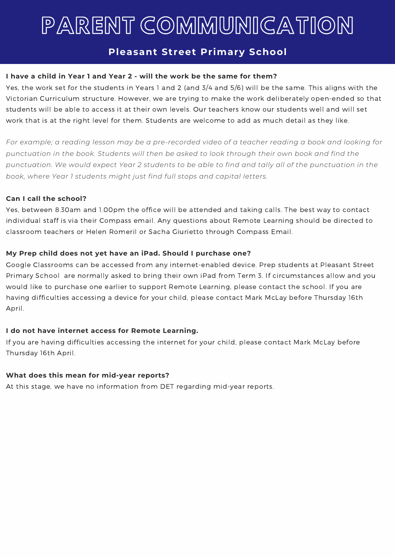# **Pleasant Street Primary School**

# **I have a child in Year 1 and Year 2 - will the work be the same for them?**

Yes, the work set for the students in Years 1 and 2 (and 3/4 and 5/6) will be the same. This aligns with the Victorian Curriculum structure. However, we are trying to make the work deliberately open-ended so that students will be able to access it at their own levels. Our teachers know our students well and will set work that is at the right level for them. Students are welcome to add as much detail as they like.

For example; a reading lesson may be a pre-recorded video of a teacher reading a book and looking for *punctuation in the book. Students will then be asked to look through their own book and find the* punctuation. We would expect Year 2 students to be able to find and tally all of the punctuation in the *book, where Year 1 students might just find full stops and capital letters.*

## **Can I call the school?**

Yes, between 8.30am and 1.00pm the office will be attended and taking calls. The best way to contact individual staff is via their Compass email. Any questions about Remote Learning should be directed to classroom teachers or Helen Romeril or Sacha Giurietto through Compass Email.

## **My Prep child does not yet have an iPad. Should I purchase one?**

Google Classrooms can be accessed from any internet-enabled device. Prep students at Pleasant Street Primary School are normally asked to bring their own iPad from Term 3. If circumstances allow and you would like to purchase one earlier to support Remote Learning, please contact the school. If you are having difficulties accessing a device for your child, please contact Mark McLay before Thursday 16th April.

# **I do not have internet access for Remote Learning.**

If you are having difficulties accessing the internet for your child, please contact Mark McLay before Thursday 16th April.

# **What does this mean for mid-year reports?**

At this stage, we have no information from DET regarding mid-year reports.